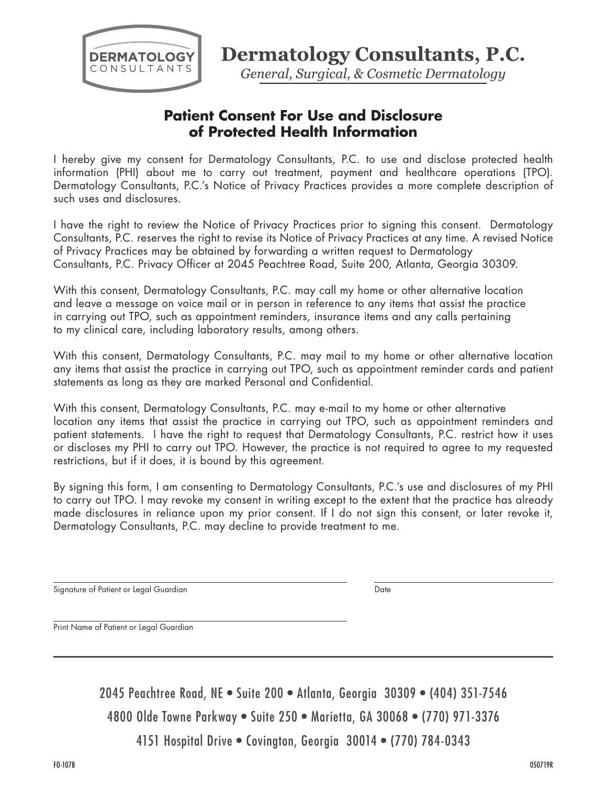

**Dermatology Consultants, P.C.** 

General, Surgical, & Cosmetic Dermatology

## **Patient Consent For Use and Disclosure of Protected Health Information**

I hereby give my consent for Dermatology Consultants, P.C. to use and disclose protected health information (PHI) about me to carry out treatment, payment and healthcare operations (TPO). Dermatology Consultants, P.C.'s Notice of Privacy Practices provides a more complete description of such uses and disclosures.

I have the right to review the Notice of Privacy Practices prior to signing this consent. Dermatology Consultants, P.C. reserves the right to revise its Notice of Privacy Practices at any time. A revised Notice of Privacy Practices may be obtained by forwarding a written request to Dermatology Consultants, P.C. Privacy Officer at 2045 Peachtree Road, Suite 200, Atlanta, Georgia 30309.

With this consent, Dermatology Consultants, P.C. may call my home or other alternative location and leave a message on voice mail or in person in reference to any items that assist the practice in carrying out TPO, such as appointment reminders, insurance items and any calls pertaining to my clinical care, including laboratory results, among others.

With this consent, Dermatology Consultants, P.C. may mail to my home or other alternative location any items that assist the practice in carrying out TPO, such as appointment reminder cards and patient statements as long as they are marked Personal and Confidential.

With this consent, Dermatology Consultants, P.C. may e-mail to my home or other alternative location any items that assist the practice in carrying out TPO, such as appointment reminders and patient statements. I have the right to request that Dermatology Consultants, P.C. restrict how it uses or discloses my PHI to carry out TPO. However, the practice is not required to agree to my requested restrictions, but if it does, it is bound by this agreement.

By signing this form, I am consenting to Dermatology Consultants, P.C.'s use and disclosures of my PHI to carry out TPO. I may revoke my consent in writing except to the extent that the practice has already made disclosures in reliance upon my prior consent. If I do not sign this consent, or later revoke it, Dermatology Consultants, P.C. may decline to provide treatment to me.

Signature of Patient or Legal Guardian Date by a state of Patient or Legal Guardian Date

Print Name of Patient or Legal Guardian

2045 Peachtree Road, NE • Suite 200 • Atlanta, Georgia 30309 • (404) 351-7546 4800 Olde Towne Parkway • Suite 250 • Marietta, GA 30068 • (770) 971-3376 4151 Hospital Drive • Covington, Georgia 30014 • (770) 784-0343